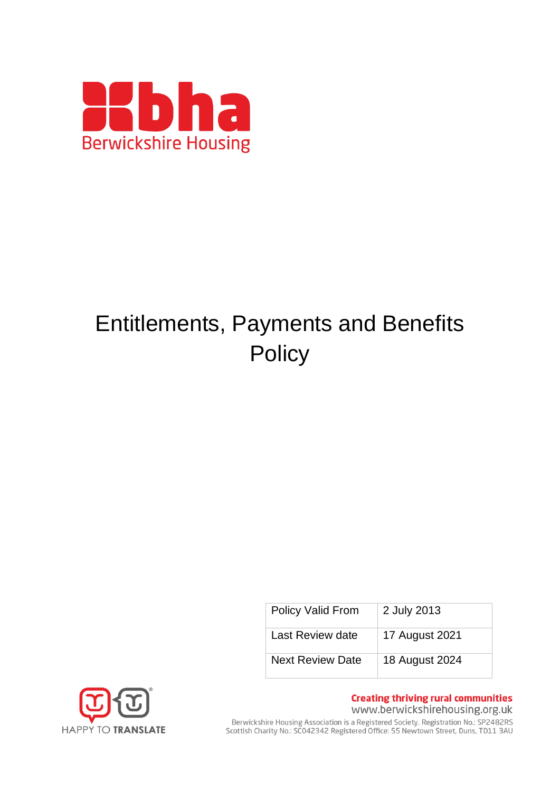

# Entitlements, Payments and Benefits **Policy**

| Policy Valid From       | 2 July 2013    |
|-------------------------|----------------|
| Last Review date        | 17 August 2021 |
| <b>Next Review Date</b> | 18 August 2024 |



**Creating thriving rural communities** www.berwickshirehousing.org.uk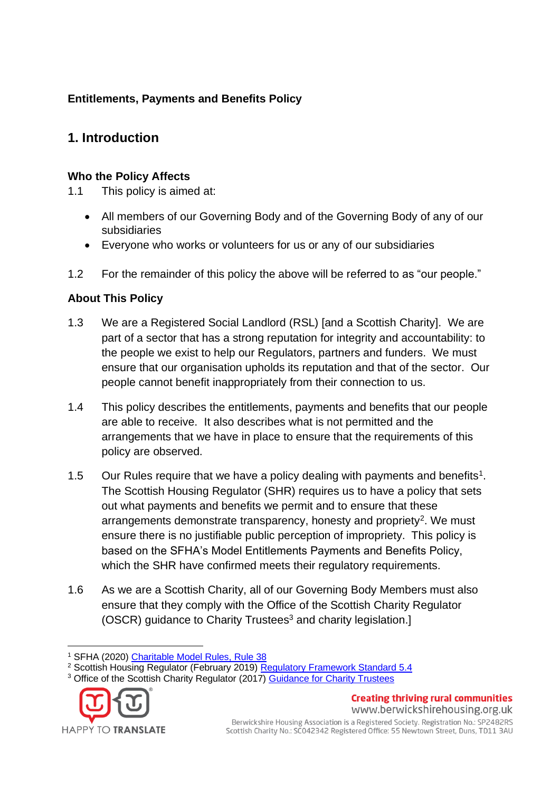# **Entitlements, Payments and Benefits Policy**

# **1. Introduction**

#### **Who the Policy Affects**

1.1 This policy is aimed at:

- All members of our Governing Body and of the Governing Body of any of our subsidiaries
- Everyone who works or volunteers for us or any of our subsidiaries
- 1.2 For the remainder of this policy the above will be referred to as "our people."

# **About This Policy**

- 1.3 We are a Registered Social Landlord (RSL) [and a Scottish Charity]. We are part of a sector that has a strong reputation for integrity and accountability: to the people we exist to help our Regulators, partners and funders. We must ensure that our organisation upholds its reputation and that of the sector. Our people cannot benefit inappropriately from their connection to us.
- 1.4 This policy describes the entitlements, payments and benefits that our people are able to receive. It also describes what is not permitted and the arrangements that we have in place to ensure that the requirements of this policy are observed.
- 1.5 Our Rules require that we have a policy dealing with payments and benefits<sup>1</sup>. The Scottish Housing Regulator (SHR) requires us to have a policy that sets out what payments and benefits we permit and to ensure that these arrangements demonstrate transparency, honesty and propriety<sup>2</sup>. We must ensure there is no justifiable public perception of impropriety. This policy is based on the SFHA's Model Entitlements Payments and Benefits Policy, which the SHR have confirmed meets their regulatory requirements.
- 1.6 As we are a Scottish Charity, all of our Governing Body Members must also ensure that they comply with the Office of the Scottish Charity Regulator (OSCR) guidance to Charity Trustees<sup>3</sup> and charity legislation.]

<sup>&</sup>lt;sup>3</sup> Office of the Scottish Charity Regulator (2017) [Guidance for Charity Trustees](https://www.oscr.org.uk/guidance-and-forms/managing-a-charity-guidance/guidance-and-good-practice-for-charity-trustees/)



**Creating thriving rural communities** www.berwickshirehousing.org.uk

<sup>1</sup> SFHA (2020) [Charitable Model Rules, Rule 38](https://www.sfha.co.uk/download.php?file=1393)

<sup>&</sup>lt;sup>2</sup> Scottish Housing Regulator (February 2019) [Regulatory Framework Standard 5.4](https://www.housingregulator.gov.scot/for-landlords/regulatory-framework)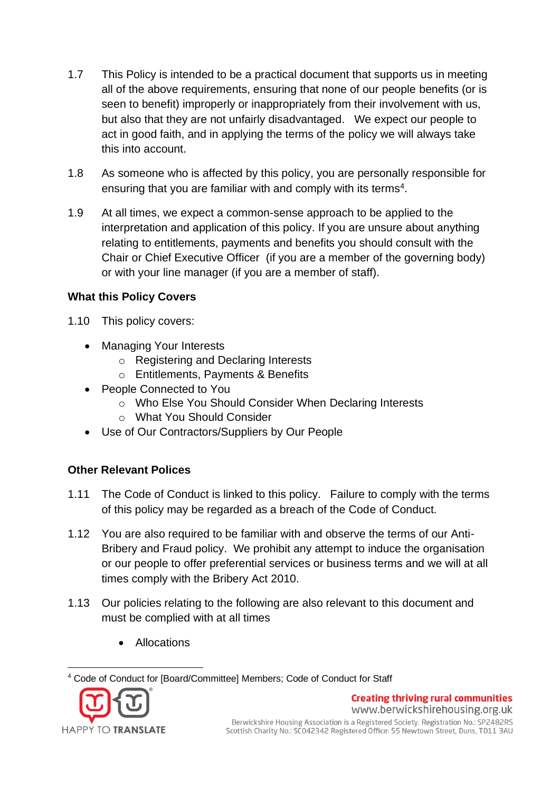- 1.7 This Policy is intended to be a practical document that supports us in meeting all of the above requirements, ensuring that none of our people benefits (or is seen to benefit) improperly or inappropriately from their involvement with us, but also that they are not unfairly disadvantaged. We expect our people to act in good faith, and in applying the terms of the policy we will always take this into account.
- 1.8 As someone who is affected by this policy, you are personally responsible for ensuring that you are familiar with and comply with its terms<sup>4</sup>.
- 1.9 At all times, we expect a common-sense approach to be applied to the interpretation and application of this policy. If you are unsure about anything relating to entitlements, payments and benefits you should consult with the Chair or Chief Executive Officer (if you are a member of the governing body) or with your line manager (if you are a member of staff).

#### **What this Policy Covers**

- 1.10 This policy covers:
	- Managing Your Interests
		- o Registering and Declaring Interests
		- o Entitlements, Payments & Benefits
	- People Connected to You
		- o Who Else You Should Consider When Declaring Interests
		- o What You Should Consider
	- Use of Our Contractors/Suppliers by Our People

# **Other Relevant Polices**

- 1.11 The Code of Conduct is linked to this policy. Failure to comply with the terms of this policy may be regarded as a breach of the Code of Conduct.
- 1.12 You are also required to be familiar with and observe the terms of our Anti-Bribery and Fraud policy. We prohibit any attempt to induce the organisation or our people to offer preferential services or business terms and we will at all times comply with the Bribery Act 2010.
- 1.13 Our policies relating to the following are also relevant to this document and must be complied with at all times
	- Allocations

<sup>4</sup> Code of Conduct for [Board/Committee] Members; Code of Conduct for Staff



**Creating thriving rural communities**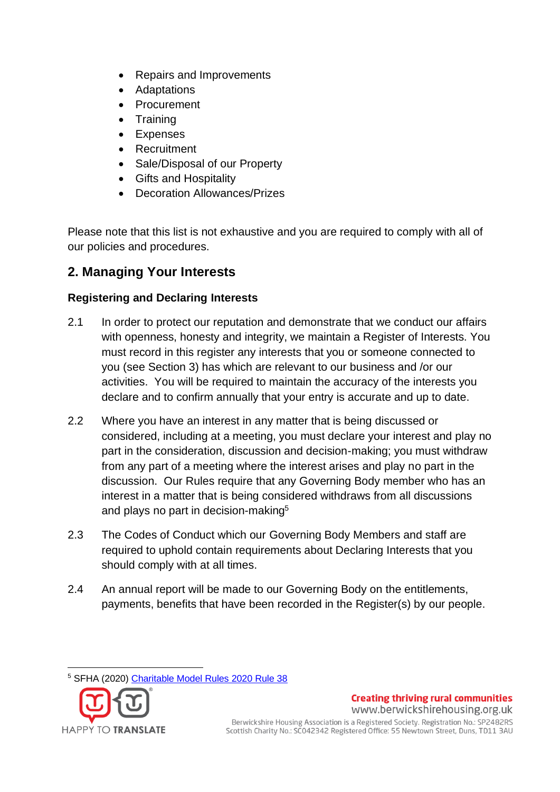- Repairs and Improvements
- **Adaptations**
- Procurement
- **Training**
- **Expenses**
- Recruitment
- Sale/Disposal of our Property
- Gifts and Hospitality
- Decoration Allowances/Prizes

Please note that this list is not exhaustive and you are required to comply with all of our policies and procedures.

# **2. Managing Your Interests**

# **Registering and Declaring Interests**

- 2.1 In order to protect our reputation and demonstrate that we conduct our affairs with openness, honesty and integrity, we maintain a Register of Interests. You must record in this register any interests that you or someone connected to you (see Section 3) has which are relevant to our business and /or our activities. You will be required to maintain the accuracy of the interests you declare and to confirm annually that your entry is accurate and up to date.
- 2.2 Where you have an interest in any matter that is being discussed or considered, including at a meeting, you must declare your interest and play no part in the consideration, discussion and decision-making; you must withdraw from any part of a meeting where the interest arises and play no part in the discussion. Our Rules require that any Governing Body member who has an interest in a matter that is being considered withdraws from all discussions and plays no part in decision-making<sup>5</sup>
- 2.3 The Codes of Conduct which our Governing Body Members and staff are required to uphold contain requirements about Declaring Interests that you should comply with at all times.
- 2.4 An annual report will be made to our Governing Body on the entitlements, payments, benefits that have been recorded in the Register(s) by our people.

<sup>5</sup> SFHA (2020) [Charitable Model Rules 2020 Rule 38](https://www.sfha.co.uk/download.php?file=1393)



www.berwickshirehousing.org.uk Berwickshire Housing Association is a Registered Society. Registration No.: SP2482RS Scottish Charity No.: SC042342 Registered Office: 55 Newtown Street, Duns, TD11 3AU

**Creating thriving rural communities**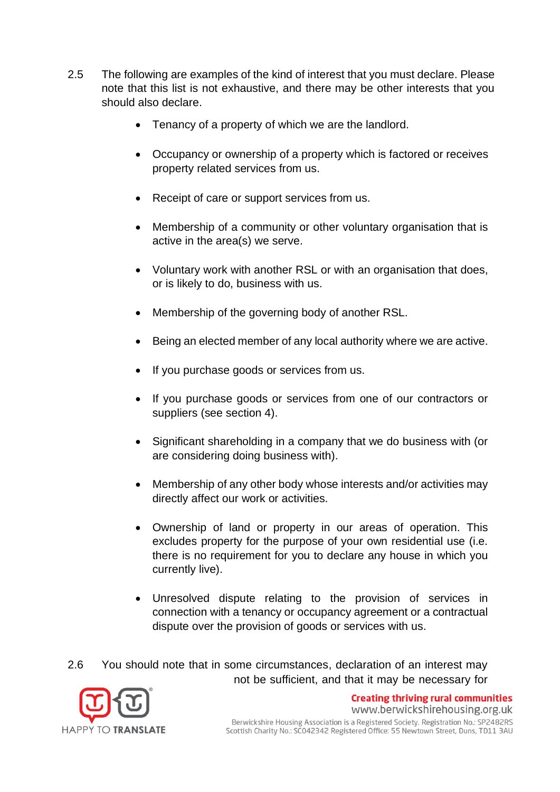- 2.5 The following are examples of the kind of interest that you must declare. Please note that this list is not exhaustive, and there may be other interests that you should also declare.
	- Tenancy of a property of which we are the landlord.
	- Occupancy or ownership of a property which is factored or receives property related services from us.
	- Receipt of care or support services from us.
	- Membership of a community or other voluntary organisation that is active in the area(s) we serve.
	- Voluntary work with another RSL or with an organisation that does, or is likely to do, business with us.
	- Membership of the governing body of another RSL.
	- Being an elected member of any local authority where we are active.
	- If you purchase goods or services from us.
	- If you purchase goods or services from one of our contractors or suppliers (see section 4).
	- Significant shareholding in a company that we do business with (or are considering doing business with).
	- Membership of any other body whose interests and/or activities may directly affect our work or activities.
	- Ownership of land or property in our areas of operation. This excludes property for the purpose of your own residential use (i.e. there is no requirement for you to declare any house in which you currently live).
	- Unresolved dispute relating to the provision of services in connection with a tenancy or occupancy agreement or a contractual dispute over the provision of goods or services with us.

2.6 You should note that in some circumstances, declaration of an interest may not be sufficient, and that it may be necessary for



www.berwickshirehousing.org.uk Berwickshire Housing Association is a Registered Society. Registration No.: SP2482RS Scottish Charity No.: SC042342 Registered Office: 55 Newtown Street, Duns, TD11 3AU

**Creating thriving rural communities**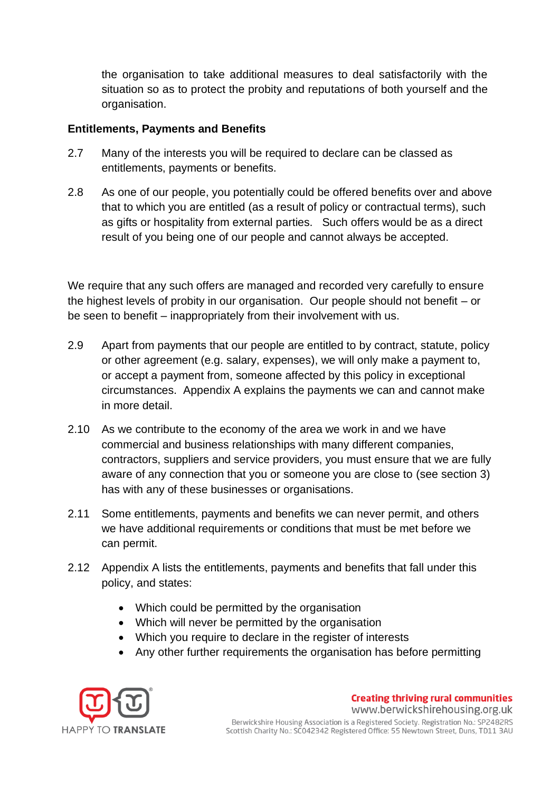the organisation to take additional measures to deal satisfactorily with the situation so as to protect the probity and reputations of both yourself and the organisation.

#### **Entitlements, Payments and Benefits**

- 2.7 Many of the interests you will be required to declare can be classed as entitlements, payments or benefits.
- 2.8 As one of our people, you potentially could be offered benefits over and above that to which you are entitled (as a result of policy or contractual terms), such as gifts or hospitality from external parties. Such offers would be as a direct result of you being one of our people and cannot always be accepted.

We require that any such offers are managed and recorded very carefully to ensure the highest levels of probity in our organisation. Our people should not benefit – or be seen to benefit – inappropriately from their involvement with us.

- 2.9 Apart from payments that our people are entitled to by contract, statute, policy or other agreement (e.g. salary, expenses), we will only make a payment to, or accept a payment from, someone affected by this policy in exceptional circumstances. Appendix A explains the payments we can and cannot make in more detail.
- 2.10 As we contribute to the economy of the area we work in and we have commercial and business relationships with many different companies, contractors, suppliers and service providers, you must ensure that we are fully aware of any connection that you or someone you are close to (see section 3) has with any of these businesses or organisations.
- 2.11 Some entitlements, payments and benefits we can never permit, and others we have additional requirements or conditions that must be met before we can permit.
- 2.12 Appendix A lists the entitlements, payments and benefits that fall under this policy, and states:
	- Which could be permitted by the organisation
	- Which will never be permitted by the organisation
	- Which you require to declare in the register of interests
	- Any other further requirements the organisation has before permitting

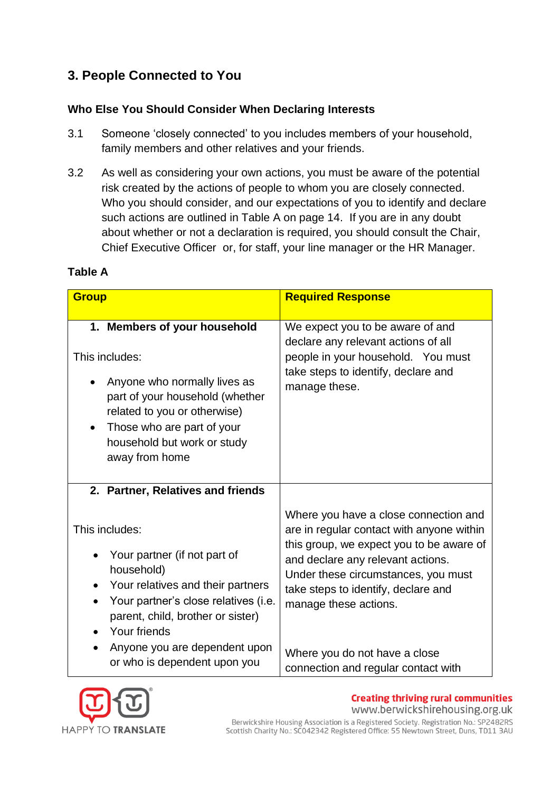# **3. People Connected to You**

# **Who Else You Should Consider When Declaring Interests**

- 3.1 Someone 'closely connected' to you includes members of your household, family members and other relatives and your friends.
- 3.2 As well as considering your own actions, you must be aware of the potential risk created by the actions of people to whom you are closely connected. Who you should consider, and our expectations of you to identify and declare such actions are outlined in Table A on page 14. If you are in any doubt about whether or not a declaration is required, you should consult the Chair, Chief Executive Officer or, for staff, your line manager or the HR Manager.

| <b>Group</b>                                                                                                                                                                                                                     | <b>Required Response</b>                                                                                                                                                                                                                                                   |
|----------------------------------------------------------------------------------------------------------------------------------------------------------------------------------------------------------------------------------|----------------------------------------------------------------------------------------------------------------------------------------------------------------------------------------------------------------------------------------------------------------------------|
| 1. Members of your household<br>This includes:<br>Anyone who normally lives as<br>part of your household (whether<br>related to you or otherwise)<br>Those who are part of your<br>household but work or study<br>away from home | We expect you to be aware of and<br>declare any relevant actions of all<br>people in your household. You must<br>take steps to identify, declare and<br>manage these.                                                                                                      |
| 2. Partner, Relatives and friends                                                                                                                                                                                                |                                                                                                                                                                                                                                                                            |
| This includes:<br>Your partner (if not part of<br>household)<br>Your relatives and their partners<br>Your partner's close relatives (i.e.<br>parent, child, brother or sister)<br>Your friends                                   | Where you have a close connection and<br>are in regular contact with anyone within<br>this group, we expect you to be aware of<br>and declare any relevant actions.<br>Under these circumstances, you must<br>take steps to identify, declare and<br>manage these actions. |
| Anyone you are dependent upon<br>or who is dependent upon you                                                                                                                                                                    | Where you do not have a close<br>connection and regular contact with                                                                                                                                                                                                       |

# **Table A**



**Creating thriving rural communities** www.berwickshirehousing.org.uk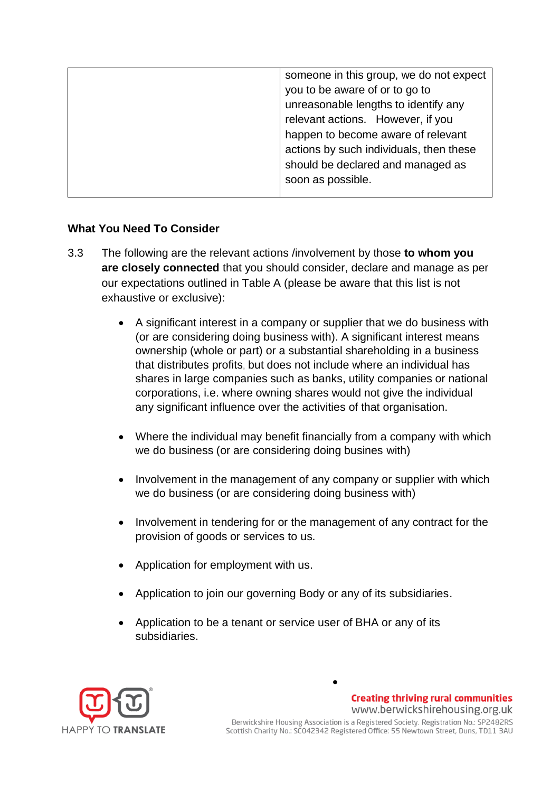| someone in this group, we do not expect |
|-----------------------------------------|
| you to be aware of or to go to          |
| unreasonable lengths to identify any    |
| relevant actions. However, if you       |
| happen to become aware of relevant      |
| actions by such individuals, then these |
| should be declared and managed as       |
| soon as possible.                       |
|                                         |

#### **What You Need To Consider**

- 3.3 The following are the relevant actions /involvement by those **to whom you are closely connected** that you should consider, declare and manage as per our expectations outlined in Table A (please be aware that this list is not exhaustive or exclusive):
	- A significant interest in a company or supplier that we do business with (or are considering doing business with). A significant interest means ownership (whole or part) or a substantial shareholding in a business that distributes profits, but does not include where an individual has shares in large companies such as banks, utility companies or national corporations, i.e. where owning shares would not give the individual any significant influence over the activities of that organisation.
	- Where the individual may benefit financially from a company with which we do business (or are considering doing busines with)
	- Involvement in the management of any company or supplier with which we do business (or are considering doing business with)
	- Involvement in tendering for or the management of any contract for the provision of goods or services to us.
	- Application for employment with us.
	- Application to join our governing Body or any of its subsidiaries.
	- Application to be a tenant or service user of BHA or any of its subsidiaries.



**Creating thriving rural communities** www.berwickshirehousing.org.uk Berwickshire Housing Association is a Registered Society. Registration No.: SP2482RS Scottish Charity No.: SC042342 Registered Office: 55 Newtown Street, Duns, TD11 3AU

•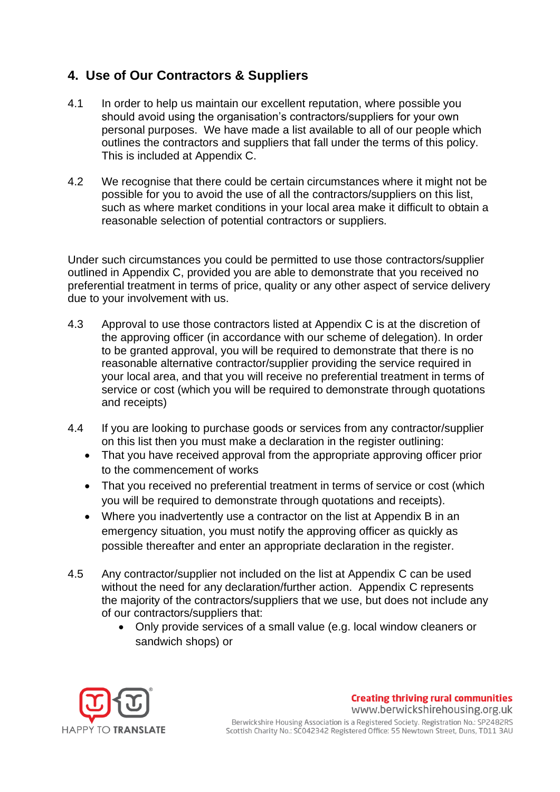# **4. Use of Our Contractors & Suppliers**

- 4.1 In order to help us maintain our excellent reputation, where possible you should avoid using the organisation's contractors/suppliers for your own personal purposes. We have made a list available to all of our people which outlines the contractors and suppliers that fall under the terms of this policy. This is included at Appendix C.
- 4.2 We recognise that there could be certain circumstances where it might not be possible for you to avoid the use of all the contractors/suppliers on this list, such as where market conditions in your local area make it difficult to obtain a reasonable selection of potential contractors or suppliers.

Under such circumstances you could be permitted to use those contractors/supplier outlined in Appendix C, provided you are able to demonstrate that you received no preferential treatment in terms of price, quality or any other aspect of service delivery due to your involvement with us.

- 4.3 Approval to use those contractors listed at Appendix C is at the discretion of the approving officer (in accordance with our scheme of delegation). In order to be granted approval, you will be required to demonstrate that there is no reasonable alternative contractor/supplier providing the service required in your local area, and that you will receive no preferential treatment in terms of service or cost (which you will be required to demonstrate through quotations and receipts)
- 4.4 If you are looking to purchase goods or services from any contractor/supplier on this list then you must make a declaration in the register outlining:
	- That you have received approval from the appropriate approving officer prior to the commencement of works
	- That you received no preferential treatment in terms of service or cost (which you will be required to demonstrate through quotations and receipts).
	- Where you inadvertently use a contractor on the list at Appendix B in an emergency situation, you must notify the approving officer as quickly as possible thereafter and enter an appropriate declaration in the register.
- 4.5 Any contractor/supplier not included on the list at Appendix C can be used without the need for any declaration/further action. Appendix C represents the majority of the contractors/suppliers that we use, but does not include any of our contractors/suppliers that:
	- Only provide services of a small value (e.g. local window cleaners or sandwich shops) or



**Creating thriving rural communities** www.berwickshirehousing.org.uk Berwickshire Housing Association is a Registered Society. Registration No.: SP2482RS Scottish Charity No.: SC042342 Registered Office: 55 Newtown Street, Duns, TD11 3AU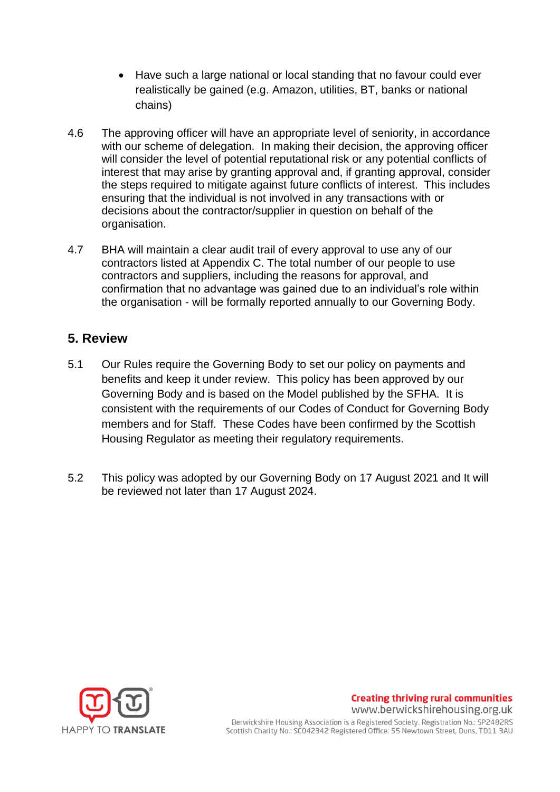- Have such a large national or local standing that no favour could ever realistically be gained (e.g. Amazon, utilities, BT, banks or national chains)
- 4.6 The approving officer will have an appropriate level of seniority, in accordance with our scheme of delegation.In making their decision, the approving officer will consider the level of potential reputational risk or any potential conflicts of interest that may arise by granting approval and, if granting approval, consider the steps required to mitigate against future conflicts of interest. This includes ensuring that the individual is not involved in any transactions with or decisions about the contractor/supplier in question on behalf of the organisation.
- 4.7 BHA will maintain a clear audit trail of every approval to use any of our contractors listed at Appendix C. The total number of our people to use contractors and suppliers, including the reasons for approval, and confirmation that no advantage was gained due to an individual's role within the organisation - will be formally reported annually to our Governing Body.

# **5. Review**

- 5.1 Our Rules require the Governing Body to set our policy on payments and benefits and keep it under review. This policy has been approved by our Governing Body and is based on the Model published by the SFHA. It is consistent with the requirements of our Codes of Conduct for Governing Body members and for Staff. These Codes have been confirmed by the Scottish Housing Regulator as meeting their regulatory requirements.
- 5.2 This policy was adopted by our Governing Body on 17 August 2021 and It will be reviewed not later than 17 August 2024.



#### **Creating thriving rural communities** www.berwickshirehousing.org.uk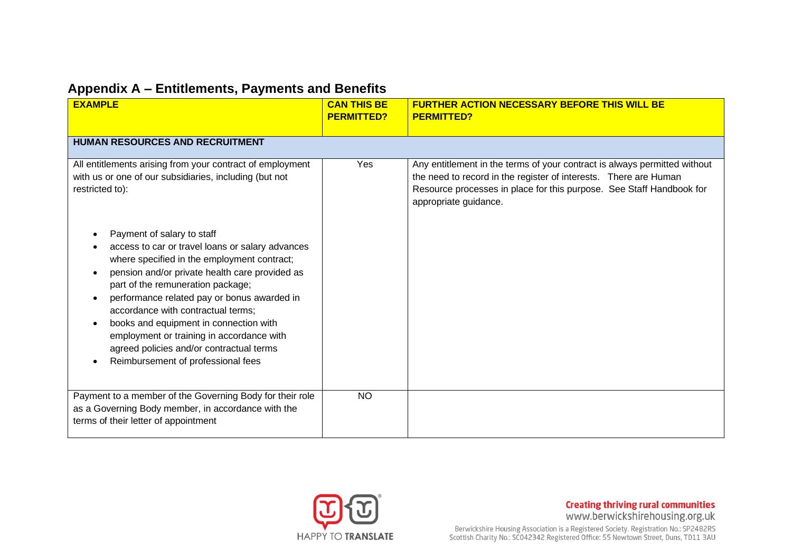# **Appendix A – Entitlements, Payments and Benefits**

| <b>EXAMPLE</b>                                                                                                                                                                                                                                                                                                                                                                                                                                                                                                                                                                                                               | <b>CAN THIS BE</b><br><b>PERMITTED?</b> | <b>FURTHER ACTION NECESSARY BEFORE THIS WILL BE</b><br><b>PERMITTED?</b>                                                                                                                                                                       |
|------------------------------------------------------------------------------------------------------------------------------------------------------------------------------------------------------------------------------------------------------------------------------------------------------------------------------------------------------------------------------------------------------------------------------------------------------------------------------------------------------------------------------------------------------------------------------------------------------------------------------|-----------------------------------------|------------------------------------------------------------------------------------------------------------------------------------------------------------------------------------------------------------------------------------------------|
| HUMAN RESOURCES AND RECRUITMENT                                                                                                                                                                                                                                                                                                                                                                                                                                                                                                                                                                                              |                                         |                                                                                                                                                                                                                                                |
| All entitlements arising from your contract of employment<br>with us or one of our subsidiaries, including (but not<br>restricted to):<br>Payment of salary to staff<br>access to car or travel loans or salary advances<br>where specified in the employment contract;<br>pension and/or private health care provided as<br>part of the remuneration package;<br>performance related pay or bonus awarded in<br>accordance with contractual terms;<br>books and equipment in connection with<br>employment or training in accordance with<br>agreed policies and/or contractual terms<br>Reimbursement of professional fees | Yes                                     | Any entitlement in the terms of your contract is always permitted without<br>the need to record in the register of interests. There are Human<br>Resource processes in place for this purpose. See Staff Handbook for<br>appropriate guidance. |
| Payment to a member of the Governing Body for their role<br>as a Governing Body member, in accordance with the<br>terms of their letter of appointment                                                                                                                                                                                                                                                                                                                                                                                                                                                                       | <b>NO</b>                               |                                                                                                                                                                                                                                                |

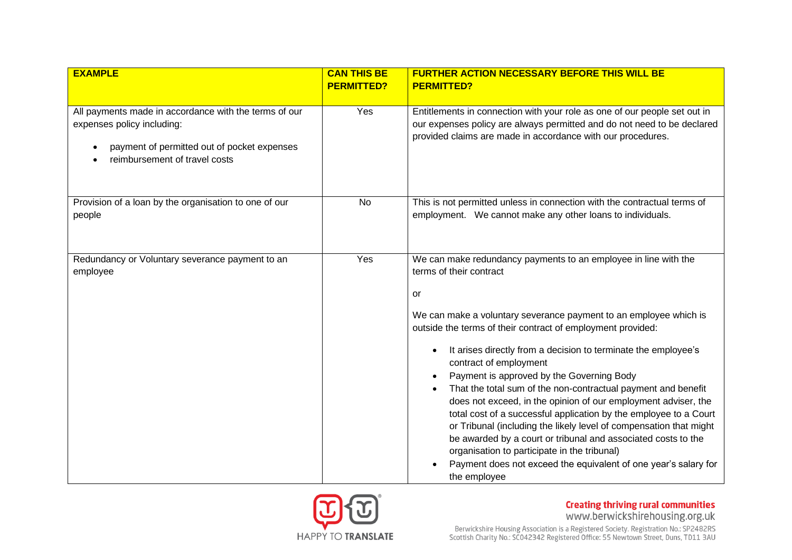| <b>EXAMPLE</b>                                                                                                                                                      | <b>CAN THIS BE</b> | <b>FURTHER ACTION NECESSARY BEFORE THIS WILL BE</b>                                                                                                                                                                                                                                                                                                                                                                                                                                                                                                                                                                                                                                                                                                                                                                                                             |
|---------------------------------------------------------------------------------------------------------------------------------------------------------------------|--------------------|-----------------------------------------------------------------------------------------------------------------------------------------------------------------------------------------------------------------------------------------------------------------------------------------------------------------------------------------------------------------------------------------------------------------------------------------------------------------------------------------------------------------------------------------------------------------------------------------------------------------------------------------------------------------------------------------------------------------------------------------------------------------------------------------------------------------------------------------------------------------|
|                                                                                                                                                                     | <b>PERMITTED?</b>  | <b>PERMITTED?</b>                                                                                                                                                                                                                                                                                                                                                                                                                                                                                                                                                                                                                                                                                                                                                                                                                                               |
| All payments made in accordance with the terms of our<br>expenses policy including:<br>payment of permitted out of pocket expenses<br>reimbursement of travel costs | Yes                | Entitlements in connection with your role as one of our people set out in<br>our expenses policy are always permitted and do not need to be declared<br>provided claims are made in accordance with our procedures.                                                                                                                                                                                                                                                                                                                                                                                                                                                                                                                                                                                                                                             |
| Provision of a loan by the organisation to one of our<br>people                                                                                                     | No                 | This is not permitted unless in connection with the contractual terms of<br>employment. We cannot make any other loans to individuals.                                                                                                                                                                                                                                                                                                                                                                                                                                                                                                                                                                                                                                                                                                                          |
| Redundancy or Voluntary severance payment to an<br>employee                                                                                                         | Yes                | We can make redundancy payments to an employee in line with the<br>terms of their contract<br>or<br>We can make a voluntary severance payment to an employee which is<br>outside the terms of their contract of employment provided:<br>It arises directly from a decision to terminate the employee's<br>contract of employment<br>Payment is approved by the Governing Body<br>That the total sum of the non-contractual payment and benefit<br>does not exceed, in the opinion of our employment adviser, the<br>total cost of a successful application by the employee to a Court<br>or Tribunal (including the likely level of compensation that might<br>be awarded by a court or tribunal and associated costs to the<br>organisation to participate in the tribunal)<br>Payment does not exceed the equivalent of one year's salary for<br>the employee |

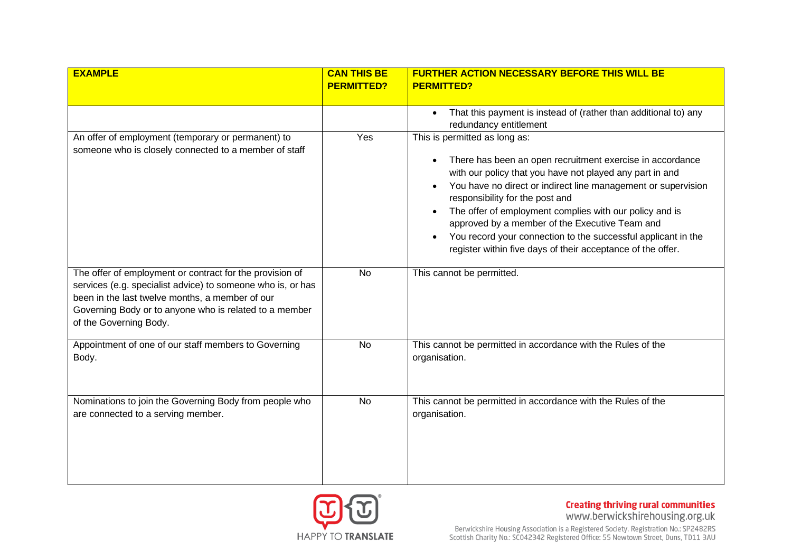| <b>EXAMPLE</b>                                                                                                                                                                                                                                                 | <b>CAN THIS BE</b> | <b>FURTHER ACTION NECESSARY BEFORE THIS WILL BE</b>                                                                                                                                                                                                                                                                                                                                                                                                                                                     |
|----------------------------------------------------------------------------------------------------------------------------------------------------------------------------------------------------------------------------------------------------------------|--------------------|---------------------------------------------------------------------------------------------------------------------------------------------------------------------------------------------------------------------------------------------------------------------------------------------------------------------------------------------------------------------------------------------------------------------------------------------------------------------------------------------------------|
|                                                                                                                                                                                                                                                                | <b>PERMITTED?</b>  | <b>PERMITTED?</b>                                                                                                                                                                                                                                                                                                                                                                                                                                                                                       |
|                                                                                                                                                                                                                                                                |                    |                                                                                                                                                                                                                                                                                                                                                                                                                                                                                                         |
|                                                                                                                                                                                                                                                                |                    | That this payment is instead of (rather than additional to) any<br>redundancy entitlement                                                                                                                                                                                                                                                                                                                                                                                                               |
| An offer of employment (temporary or permanent) to<br>someone who is closely connected to a member of staff                                                                                                                                                    | Yes                | This is permitted as long as:<br>There has been an open recruitment exercise in accordance<br>with our policy that you have not played any part in and<br>You have no direct or indirect line management or supervision<br>responsibility for the post and<br>The offer of employment complies with our policy and is<br>approved by a member of the Executive Team and<br>You record your connection to the successful applicant in the<br>register within five days of their acceptance of the offer. |
| The offer of employment or contract for the provision of<br>services (e.g. specialist advice) to someone who is, or has<br>been in the last twelve months, a member of our<br>Governing Body or to anyone who is related to a member<br>of the Governing Body. | <b>No</b>          | This cannot be permitted.                                                                                                                                                                                                                                                                                                                                                                                                                                                                               |
| Appointment of one of our staff members to Governing<br>Body.                                                                                                                                                                                                  | <b>No</b>          | This cannot be permitted in accordance with the Rules of the<br>organisation.                                                                                                                                                                                                                                                                                                                                                                                                                           |
| Nominations to join the Governing Body from people who<br>are connected to a serving member.                                                                                                                                                                   | <b>No</b>          | This cannot be permitted in accordance with the Rules of the<br>organisation.                                                                                                                                                                                                                                                                                                                                                                                                                           |

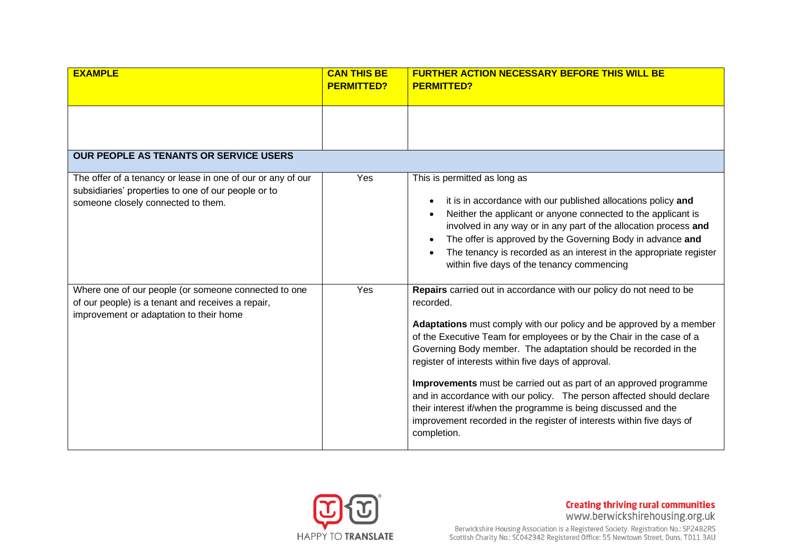| <b>EXAMPLE</b>                                                                            | <b>CAN THIS BE</b><br><b>PERMITTED?</b> | <b>FURTHER ACTION NECESSARY BEFORE THIS WILL BE</b><br><b>PERMITTED?</b>                                                                                                                                                                                                                              |
|-------------------------------------------------------------------------------------------|-----------------------------------------|-------------------------------------------------------------------------------------------------------------------------------------------------------------------------------------------------------------------------------------------------------------------------------------------------------|
|                                                                                           |                                         |                                                                                                                                                                                                                                                                                                       |
|                                                                                           |                                         |                                                                                                                                                                                                                                                                                                       |
|                                                                                           |                                         |                                                                                                                                                                                                                                                                                                       |
| <b>OUR PEOPLE AS TENANTS OR SERVICE USERS</b>                                             |                                         |                                                                                                                                                                                                                                                                                                       |
|                                                                                           |                                         |                                                                                                                                                                                                                                                                                                       |
| The offer of a tenancy or lease in one of our or any of our                               | Yes                                     | This is permitted as long as                                                                                                                                                                                                                                                                          |
| subsidiaries' properties to one of our people or to<br>someone closely connected to them. |                                         | it is in accordance with our published allocations policy and<br>$\bullet$<br>Neither the applicant or anyone connected to the applicant is                                                                                                                                                           |
|                                                                                           |                                         | involved in any way or in any part of the allocation process and                                                                                                                                                                                                                                      |
|                                                                                           |                                         | The offer is approved by the Governing Body in advance and                                                                                                                                                                                                                                            |
|                                                                                           |                                         | The tenancy is recorded as an interest in the appropriate register<br>within five days of the tenancy commencing                                                                                                                                                                                      |
| Where one of our people (or someone connected to one                                      | Yes                                     | Repairs carried out in accordance with our policy do not need to be                                                                                                                                                                                                                                   |
| of our people) is a tenant and receives a repair,                                         |                                         | recorded.                                                                                                                                                                                                                                                                                             |
| improvement or adaptation to their home                                                   |                                         | Adaptations must comply with our policy and be approved by a member<br>of the Executive Team for employees or by the Chair in the case of a<br>Governing Body member. The adaptation should be recorded in the<br>register of interests within five days of approval.                                 |
|                                                                                           |                                         | Improvements must be carried out as part of an approved programme<br>and in accordance with our policy. The person affected should declare<br>their interest if/when the programme is being discussed and the<br>improvement recorded in the register of interests within five days of<br>completion. |

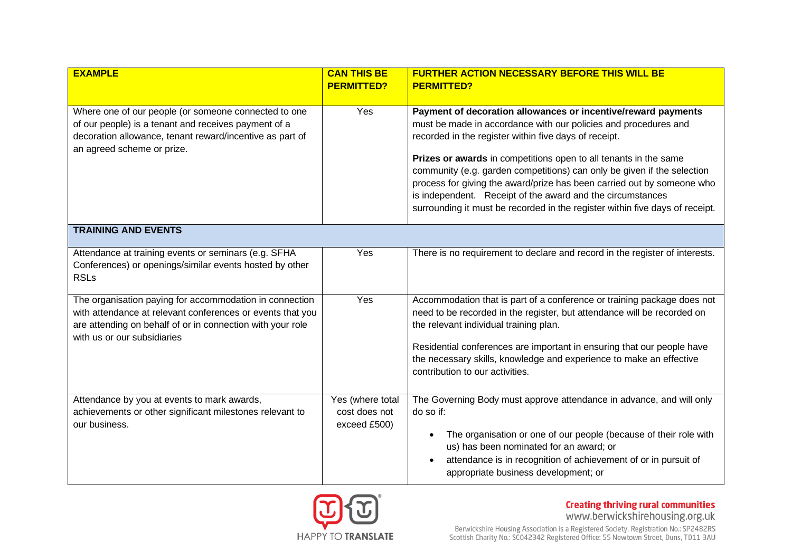| <b>EXAMPLE</b>                                                                                                                                                                                                     | <b>CAN THIS BE</b><br><b>PERMITTED?</b>           | <b>FURTHER ACTION NECESSARY BEFORE THIS WILL BE</b><br><b>PERMITTED?</b>                                                                                                                                                                                                                                                                                                                                                                                                                                                                                         |
|--------------------------------------------------------------------------------------------------------------------------------------------------------------------------------------------------------------------|---------------------------------------------------|------------------------------------------------------------------------------------------------------------------------------------------------------------------------------------------------------------------------------------------------------------------------------------------------------------------------------------------------------------------------------------------------------------------------------------------------------------------------------------------------------------------------------------------------------------------|
| Where one of our people (or someone connected to one<br>of our people) is a tenant and receives payment of a<br>decoration allowance, tenant reward/incentive as part of<br>an agreed scheme or prize.             | Yes                                               | Payment of decoration allowances or incentive/reward payments<br>must be made in accordance with our policies and procedures and<br>recorded in the register within five days of receipt.<br>Prizes or awards in competitions open to all tenants in the same<br>community (e.g. garden competitions) can only be given if the selection<br>process for giving the award/prize has been carried out by someone who<br>is independent. Receipt of the award and the circumstances<br>surrounding it must be recorded in the register within five days of receipt. |
| <b>TRAINING AND EVENTS</b>                                                                                                                                                                                         |                                                   |                                                                                                                                                                                                                                                                                                                                                                                                                                                                                                                                                                  |
| Attendance at training events or seminars (e.g. SFHA<br>Conferences) or openings/similar events hosted by other<br><b>RSLs</b>                                                                                     | Yes                                               | There is no requirement to declare and record in the register of interests.                                                                                                                                                                                                                                                                                                                                                                                                                                                                                      |
| The organisation paying for accommodation in connection<br>with attendance at relevant conferences or events that you<br>are attending on behalf of or in connection with your role<br>with us or our subsidiaries | Yes                                               | Accommodation that is part of a conference or training package does not<br>need to be recorded in the register, but attendance will be recorded on<br>the relevant individual training plan.<br>Residential conferences are important in ensuring that our people have<br>the necessary skills, knowledge and experience to make an effective<br>contribution to our activities.                                                                                                                                                                                 |
| Attendance by you at events to mark awards,<br>achievements or other significant milestones relevant to<br>our business.                                                                                           | Yes (where total<br>cost does not<br>exceed £500) | The Governing Body must approve attendance in advance, and will only<br>do so if:<br>The organisation or one of our people (because of their role with<br>$\bullet$<br>us) has been nominated for an award; or<br>attendance is in recognition of achievement of or in pursuit of<br>appropriate business development; or                                                                                                                                                                                                                                        |

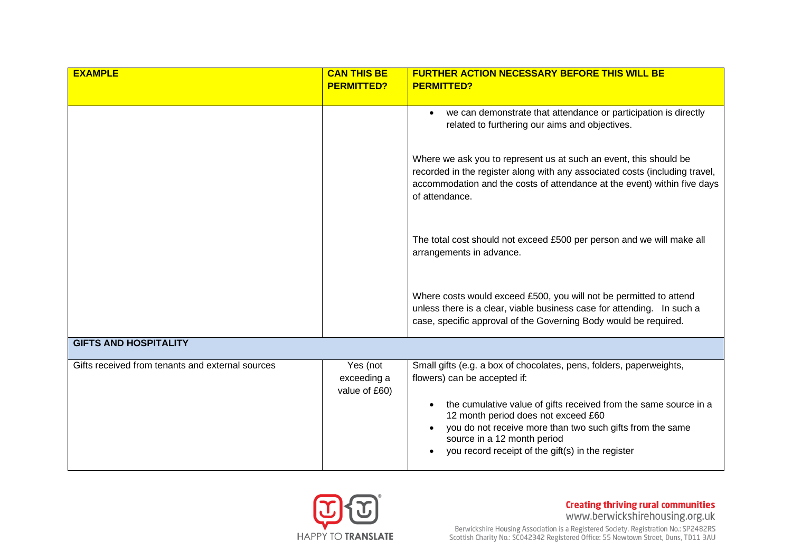| <b>EXAMPLE</b>                                   | <b>CAN THIS BE</b>                       | <b>FURTHER ACTION NECESSARY BEFORE THIS WILL BE</b>                                                                                                                                                                                                                   |
|--------------------------------------------------|------------------------------------------|-----------------------------------------------------------------------------------------------------------------------------------------------------------------------------------------------------------------------------------------------------------------------|
|                                                  | <b>PERMITTED?</b>                        | <b>PERMITTED?</b>                                                                                                                                                                                                                                                     |
|                                                  |                                          | we can demonstrate that attendance or participation is directly<br>related to furthering our aims and objectives.                                                                                                                                                     |
|                                                  |                                          | Where we ask you to represent us at such an event, this should be<br>recorded in the register along with any associated costs (including travel,<br>accommodation and the costs of attendance at the event) within five days<br>of attendance.                        |
|                                                  |                                          | The total cost should not exceed £500 per person and we will make all<br>arrangements in advance.                                                                                                                                                                     |
|                                                  |                                          | Where costs would exceed £500, you will not be permitted to attend<br>unless there is a clear, viable business case for attending. In such a<br>case, specific approval of the Governing Body would be required.                                                      |
| <b>GIFTS AND HOSPITALITY</b>                     |                                          |                                                                                                                                                                                                                                                                       |
| Gifts received from tenants and external sources | Yes (not<br>exceeding a<br>value of £60) | Small gifts (e.g. a box of chocolates, pens, folders, paperweights,<br>flowers) can be accepted if:                                                                                                                                                                   |
|                                                  |                                          | the cumulative value of gifts received from the same source in a<br>$\bullet$<br>12 month period does not exceed £60<br>you do not receive more than two such gifts from the same<br>source in a 12 month period<br>you record receipt of the gift(s) in the register |
|                                                  |                                          |                                                                                                                                                                                                                                                                       |

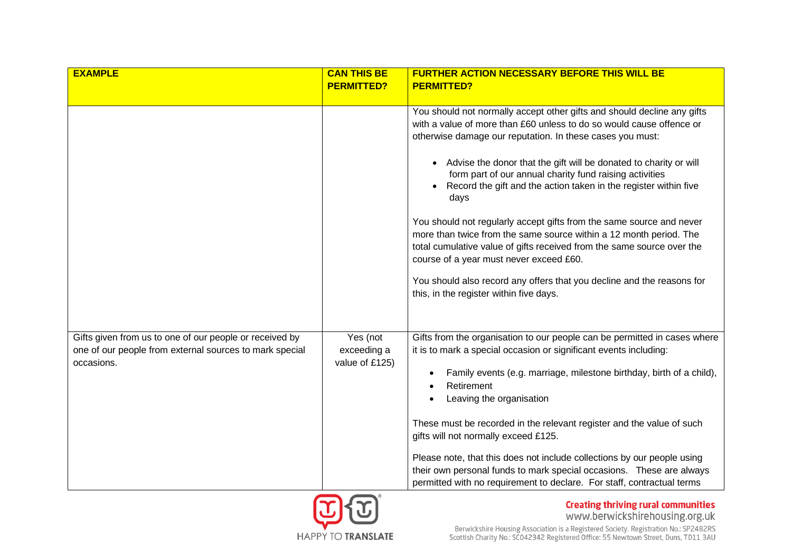| <b>EXAMPLE</b>                                                                                                                   | <b>CAN THIS BE</b>                        | <b>FURTHER ACTION NECESSARY BEFORE THIS WILL BE</b>                                                                                                                                                                                                                                                                                                                                                                                                                                                                                                                                                                                                                                                                                                                                                              |
|----------------------------------------------------------------------------------------------------------------------------------|-------------------------------------------|------------------------------------------------------------------------------------------------------------------------------------------------------------------------------------------------------------------------------------------------------------------------------------------------------------------------------------------------------------------------------------------------------------------------------------------------------------------------------------------------------------------------------------------------------------------------------------------------------------------------------------------------------------------------------------------------------------------------------------------------------------------------------------------------------------------|
|                                                                                                                                  | <b>PERMITTED?</b>                         | <b>PERMITTED?</b>                                                                                                                                                                                                                                                                                                                                                                                                                                                                                                                                                                                                                                                                                                                                                                                                |
|                                                                                                                                  |                                           |                                                                                                                                                                                                                                                                                                                                                                                                                                                                                                                                                                                                                                                                                                                                                                                                                  |
|                                                                                                                                  |                                           | You should not normally accept other gifts and should decline any gifts<br>with a value of more than £60 unless to do so would cause offence or<br>otherwise damage our reputation. In these cases you must:<br>Advise the donor that the gift will be donated to charity or will<br>form part of our annual charity fund raising activities<br>Record the gift and the action taken in the register within five<br>days<br>You should not regularly accept gifts from the same source and never<br>more than twice from the same source within a 12 month period. The<br>total cumulative value of gifts received from the same source over the<br>course of a year must never exceed £60.<br>You should also record any offers that you decline and the reasons for<br>this, in the register within five days. |
| Gifts given from us to one of our people or received by<br>one of our people from external sources to mark special<br>occasions. | Yes (not<br>exceeding a<br>value of £125) | Gifts from the organisation to our people can be permitted in cases where<br>it is to mark a special occasion or significant events including:<br>Family events (e.g. marriage, milestone birthday, birth of a child),<br>Retirement<br>Leaving the organisation<br>$\bullet$<br>These must be recorded in the relevant register and the value of such<br>gifts will not normally exceed £125.<br>Please note, that this does not include collections by our people using<br>their own personal funds to mark special occasions. These are always<br>permitted with no requirement to declare. For staff, contractual terms                                                                                                                                                                                      |

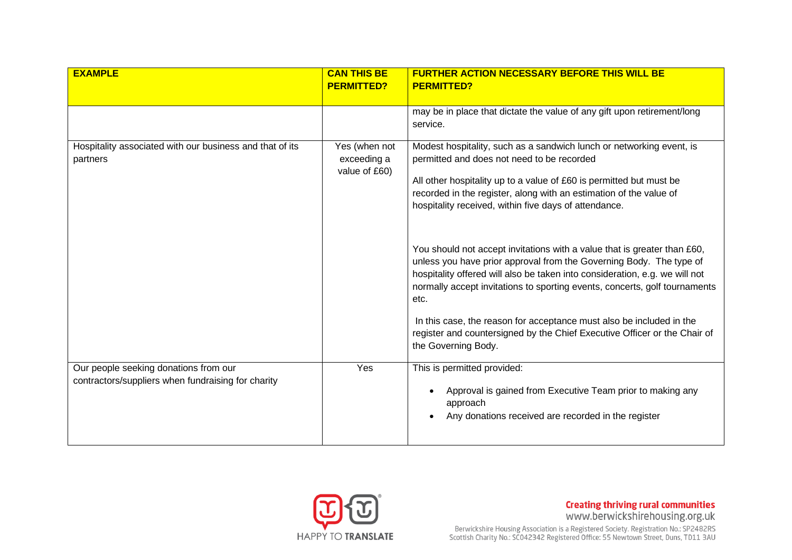| <b>EXAMPLE</b>                                                                              | <b>CAN THIS BE</b>                            | <b>FURTHER ACTION NECESSARY BEFORE THIS WILL BE</b>                                                                                                                                                                                                                                                                                                                                                                                                                                                                                                                                                                                                                                                                                                                                                                          |
|---------------------------------------------------------------------------------------------|-----------------------------------------------|------------------------------------------------------------------------------------------------------------------------------------------------------------------------------------------------------------------------------------------------------------------------------------------------------------------------------------------------------------------------------------------------------------------------------------------------------------------------------------------------------------------------------------------------------------------------------------------------------------------------------------------------------------------------------------------------------------------------------------------------------------------------------------------------------------------------------|
|                                                                                             | <b>PERMITTED?</b>                             | <b>PERMITTED?</b>                                                                                                                                                                                                                                                                                                                                                                                                                                                                                                                                                                                                                                                                                                                                                                                                            |
|                                                                                             |                                               | may be in place that dictate the value of any gift upon retirement/long<br>service.                                                                                                                                                                                                                                                                                                                                                                                                                                                                                                                                                                                                                                                                                                                                          |
| Hospitality associated with our business and that of its<br>partners                        | Yes (when not<br>exceeding a<br>value of £60) | Modest hospitality, such as a sandwich lunch or networking event, is<br>permitted and does not need to be recorded<br>All other hospitality up to a value of £60 is permitted but must be<br>recorded in the register, along with an estimation of the value of<br>hospitality received, within five days of attendance.<br>You should not accept invitations with a value that is greater than £60,<br>unless you have prior approval from the Governing Body. The type of<br>hospitality offered will also be taken into consideration, e.g. we will not<br>normally accept invitations to sporting events, concerts, golf tournaments<br>etc.<br>In this case, the reason for acceptance must also be included in the<br>register and countersigned by the Chief Executive Officer or the Chair of<br>the Governing Body. |
| Our people seeking donations from our<br>contractors/suppliers when fundraising for charity | Yes                                           | This is permitted provided:<br>Approval is gained from Executive Team prior to making any<br>approach<br>Any donations received are recorded in the register                                                                                                                                                                                                                                                                                                                                                                                                                                                                                                                                                                                                                                                                 |

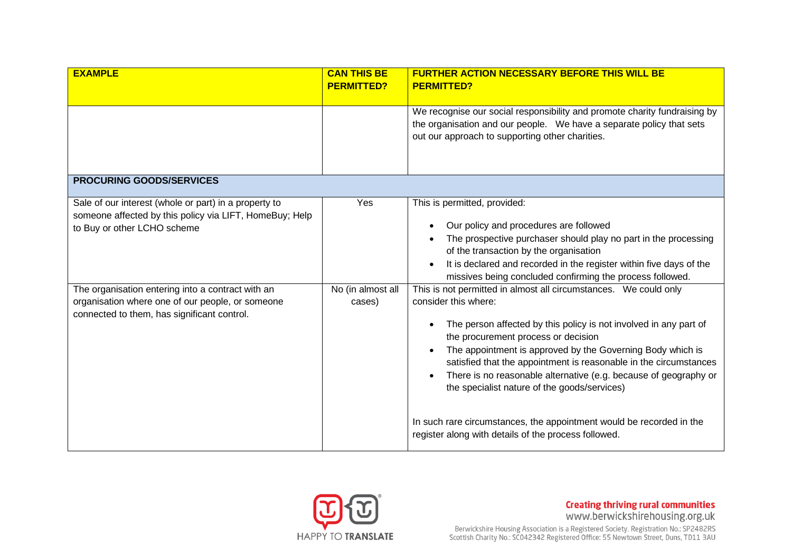| <b>EXAMPLE</b>                                                                                                                                       | <b>CAN THIS BE</b>          | <b>FURTHER ACTION NECESSARY BEFORE THIS WILL BE</b>                                                                                                                                                                                                                                                                                                                                                                                                                                                                                                                                         |
|------------------------------------------------------------------------------------------------------------------------------------------------------|-----------------------------|---------------------------------------------------------------------------------------------------------------------------------------------------------------------------------------------------------------------------------------------------------------------------------------------------------------------------------------------------------------------------------------------------------------------------------------------------------------------------------------------------------------------------------------------------------------------------------------------|
|                                                                                                                                                      | <b>PERMITTED?</b>           | <b>PERMITTED?</b>                                                                                                                                                                                                                                                                                                                                                                                                                                                                                                                                                                           |
|                                                                                                                                                      |                             | We recognise our social responsibility and promote charity fundraising by<br>the organisation and our people. We have a separate policy that sets<br>out our approach to supporting other charities.                                                                                                                                                                                                                                                                                                                                                                                        |
| <b>PROCURING GOODS/SERVICES</b>                                                                                                                      |                             |                                                                                                                                                                                                                                                                                                                                                                                                                                                                                                                                                                                             |
| Sale of our interest (whole or part) in a property to<br>someone affected by this policy via LIFT, HomeBuy; Help<br>to Buy or other LCHO scheme      | Yes                         | This is permitted, provided:<br>Our policy and procedures are followed<br>The prospective purchaser should play no part in the processing<br>of the transaction by the organisation<br>It is declared and recorded in the register within five days of the<br>missives being concluded confirming the process followed.                                                                                                                                                                                                                                                                     |
| The organisation entering into a contract with an<br>organisation where one of our people, or someone<br>connected to them, has significant control. | No (in almost all<br>cases) | This is not permitted in almost all circumstances. We could only<br>consider this where:<br>The person affected by this policy is not involved in any part of<br>the procurement process or decision<br>The appointment is approved by the Governing Body which is<br>satisfied that the appointment is reasonable in the circumstances<br>There is no reasonable alternative (e.g. because of geography or<br>the specialist nature of the goods/services)<br>In such rare circumstances, the appointment would be recorded in the<br>register along with details of the process followed. |

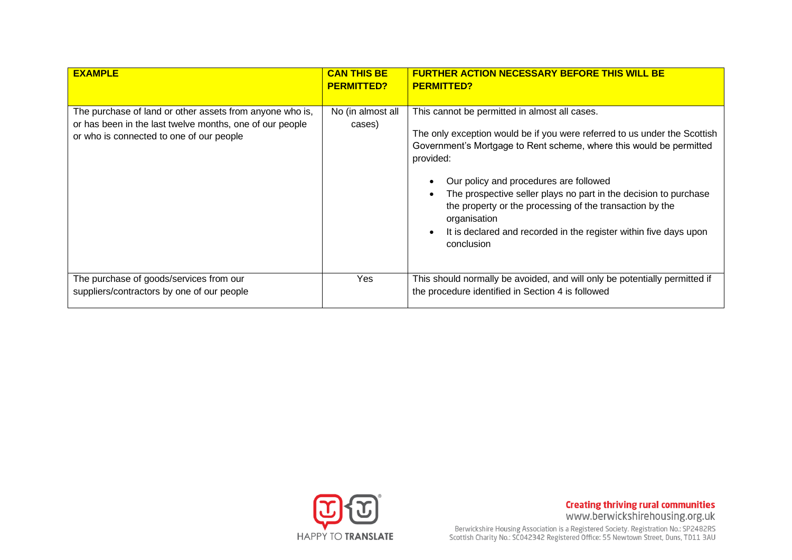| <b>EXAMPLE</b>                                                                                                                                                   | <b>CAN THIS BE</b><br><b>PERMITTED?</b> | <b>FURTHER ACTION NECESSARY BEFORE THIS WILL BE</b><br><b>PERMITTED?</b>                                                                                                                                                                                                                                                                                                                                                                                                                    |
|------------------------------------------------------------------------------------------------------------------------------------------------------------------|-----------------------------------------|---------------------------------------------------------------------------------------------------------------------------------------------------------------------------------------------------------------------------------------------------------------------------------------------------------------------------------------------------------------------------------------------------------------------------------------------------------------------------------------------|
| The purchase of land or other assets from anyone who is,<br>or has been in the last twelve months, one of our people<br>or who is connected to one of our people | No (in almost all<br>cases)             | This cannot be permitted in almost all cases.<br>The only exception would be if you were referred to us under the Scottish<br>Government's Mortgage to Rent scheme, where this would be permitted<br>provided:<br>Our policy and procedures are followed<br>The prospective seller plays no part in the decision to purchase<br>the property or the processing of the transaction by the<br>organisation<br>It is declared and recorded in the register within five days upon<br>conclusion |
| The purchase of goods/services from our<br>suppliers/contractors by one of our people                                                                            | Yes                                     | This should normally be avoided, and will only be potentially permitted if<br>the procedure identified in Section 4 is followed                                                                                                                                                                                                                                                                                                                                                             |

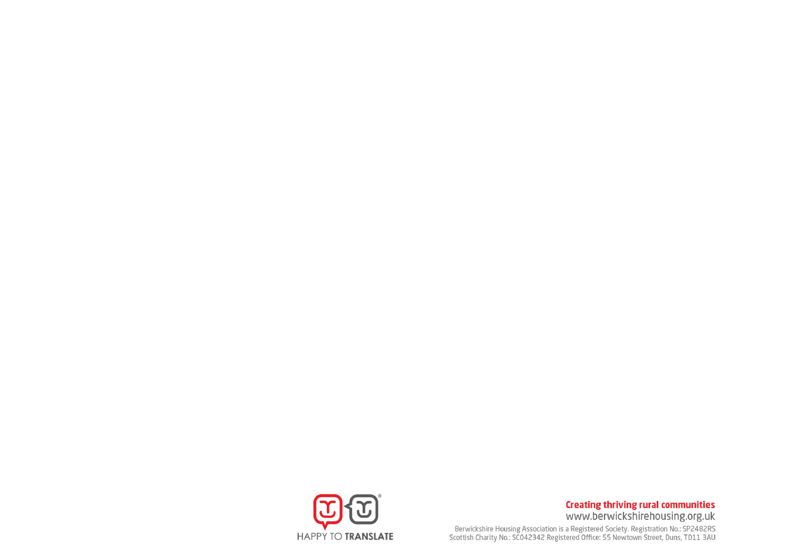

**Creating thriving rural communities** www.berwickshirehousing.org.uk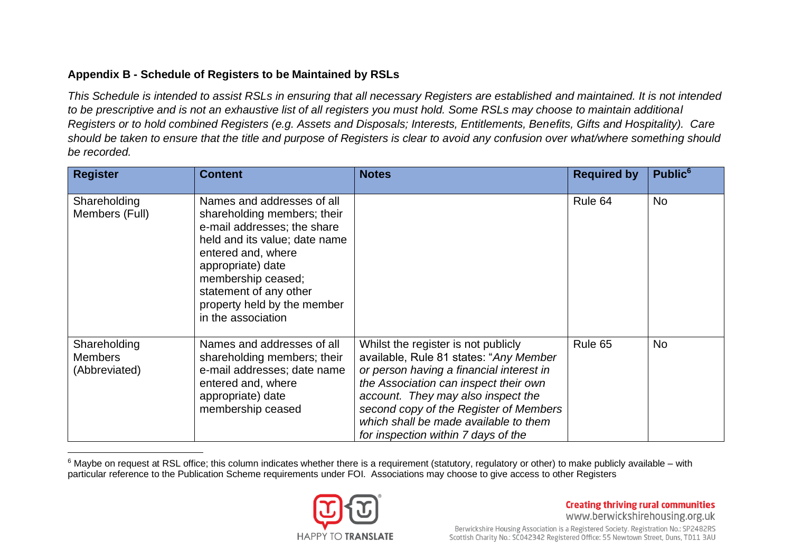# **Appendix B - Schedule of Registers to be Maintained by RSLs**

*This Schedule is intended to assist RSLs in ensuring that all necessary Registers are established and maintained. It is not intended to be prescriptive and is not an exhaustive list of all registers you must hold. Some RSLs may choose to maintain additional Registers or to hold combined Registers (e.g. Assets and Disposals; Interests, Entitlements, Benefits, Gifts and Hospitality). Care should be taken to ensure that the title and purpose of Registers is clear to avoid any confusion over what/where something should be recorded.*

| <b>Register</b>                                 | <b>Content</b>                                                                                                                                                                                                                                                            | <b>Notes</b>                                                                                                                                                                                                                                                                                                                       | <b>Required by</b> | Public <sup>6</sup> |
|-------------------------------------------------|---------------------------------------------------------------------------------------------------------------------------------------------------------------------------------------------------------------------------------------------------------------------------|------------------------------------------------------------------------------------------------------------------------------------------------------------------------------------------------------------------------------------------------------------------------------------------------------------------------------------|--------------------|---------------------|
| Shareholding<br>Members (Full)                  | Names and addresses of all<br>shareholding members; their<br>e-mail addresses; the share<br>held and its value; date name<br>entered and, where<br>appropriate) date<br>membership ceased;<br>statement of any other<br>property held by the member<br>in the association |                                                                                                                                                                                                                                                                                                                                    | Rule 64            | <b>No</b>           |
| Shareholding<br><b>Members</b><br>(Abbreviated) | Names and addresses of all<br>shareholding members; their<br>e-mail addresses; date name<br>entered and, where<br>appropriate) date<br>membership ceased                                                                                                                  | Whilst the register is not publicly<br>available, Rule 81 states: "Any Member<br>or person having a financial interest in<br>the Association can inspect their own<br>account. They may also inspect the<br>second copy of the Register of Members<br>which shall be made available to them<br>for inspection within 7 days of the | Rule 65            | <b>No</b>           |

 $6$  Maybe on request at RSL office; this column indicates whether there is a requirement (statutory, requlatory or other) to make publicly available – with particular reference to the Publication Scheme requirements under FOI. Associations may choose to give access to other Registers

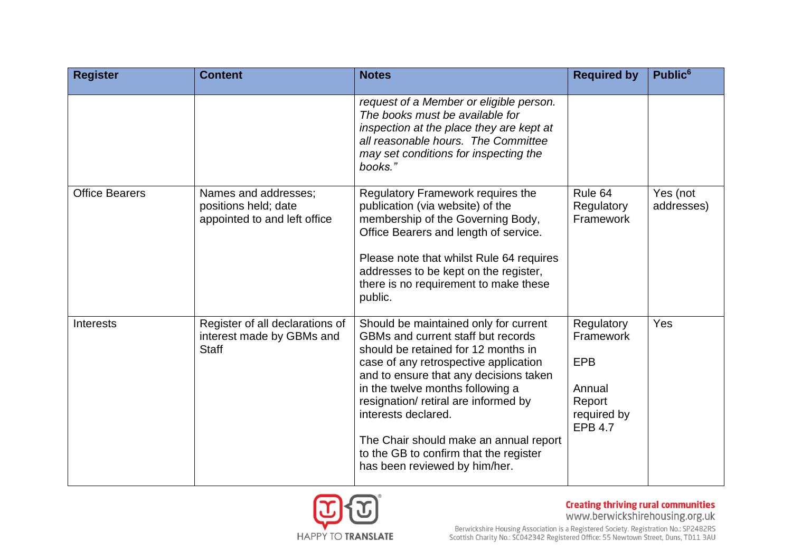| <b>Register</b>       | <b>Content</b>                                                               | <b>Notes</b>                                                                                                                                                                                                                                                                                                                                                                                                                  | <b>Required by</b>                                                                         | Public <sup>6</sup>    |
|-----------------------|------------------------------------------------------------------------------|-------------------------------------------------------------------------------------------------------------------------------------------------------------------------------------------------------------------------------------------------------------------------------------------------------------------------------------------------------------------------------------------------------------------------------|--------------------------------------------------------------------------------------------|------------------------|
|                       |                                                                              | request of a Member or eligible person.<br>The books must be available for<br>inspection at the place they are kept at<br>all reasonable hours. The Committee<br>may set conditions for inspecting the<br>books."                                                                                                                                                                                                             |                                                                                            |                        |
| <b>Office Bearers</b> | Names and addresses;<br>positions held; date<br>appointed to and left office | Regulatory Framework requires the<br>publication (via website) of the<br>membership of the Governing Body,<br>Office Bearers and length of service.<br>Please note that whilst Rule 64 requires<br>addresses to be kept on the register,<br>there is no requirement to make these<br>public.                                                                                                                                  | Rule 64<br>Regulatory<br>Framework                                                         | Yes (not<br>addresses) |
| <b>Interests</b>      | Register of all declarations of<br>interest made by GBMs and<br><b>Staff</b> | Should be maintained only for current<br>GBMs and current staff but records<br>should be retained for 12 months in<br>case of any retrospective application<br>and to ensure that any decisions taken<br>in the twelve months following a<br>resignation/ retiral are informed by<br>interests declared.<br>The Chair should make an annual report<br>to the GB to confirm that the register<br>has been reviewed by him/her. | Regulatory<br>Framework<br><b>EPB</b><br>Annual<br>Report<br>required by<br><b>EPB 4.7</b> | Yes                    |

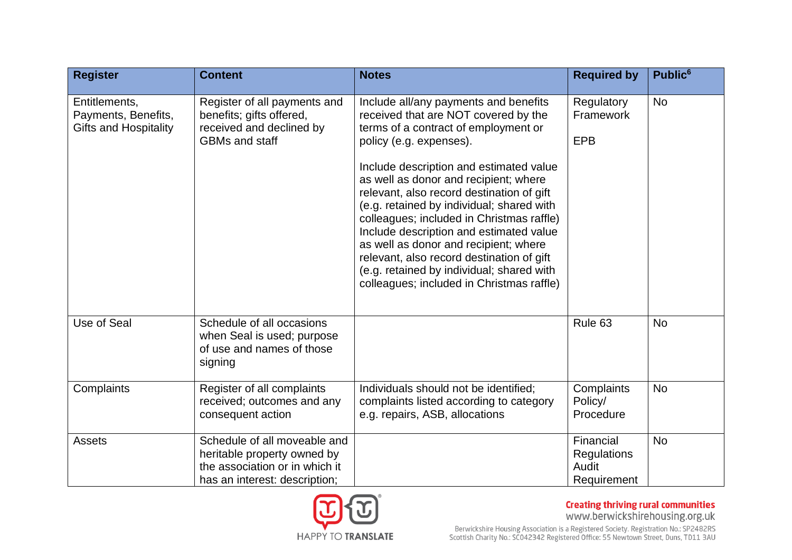| <b>Register</b>                                                      | <b>Content</b>                                                                                                                 | <b>Notes</b>                                                                                                                                                                                                                                                                                                                                                                                                                                                                                                                                                                                           | <b>Required by</b>                                      | Public <sup>6</sup> |
|----------------------------------------------------------------------|--------------------------------------------------------------------------------------------------------------------------------|--------------------------------------------------------------------------------------------------------------------------------------------------------------------------------------------------------------------------------------------------------------------------------------------------------------------------------------------------------------------------------------------------------------------------------------------------------------------------------------------------------------------------------------------------------------------------------------------------------|---------------------------------------------------------|---------------------|
| Entitlements,<br>Payments, Benefits,<br><b>Gifts and Hospitality</b> | Register of all payments and<br>benefits; gifts offered,<br>received and declined by<br><b>GBMs and staff</b>                  | Include all/any payments and benefits<br>received that are NOT covered by the<br>terms of a contract of employment or<br>policy (e.g. expenses).<br>Include description and estimated value<br>as well as donor and recipient; where<br>relevant, also record destination of gift<br>(e.g. retained by individual; shared with<br>colleagues; included in Christmas raffle)<br>Include description and estimated value<br>as well as donor and recipient; where<br>relevant, also record destination of gift<br>(e.g. retained by individual; shared with<br>colleagues; included in Christmas raffle) | Regulatory<br>Framework<br><b>EPB</b>                   | <b>No</b>           |
| Use of Seal                                                          | Schedule of all occasions<br>when Seal is used; purpose<br>of use and names of those<br>signing                                |                                                                                                                                                                                                                                                                                                                                                                                                                                                                                                                                                                                                        | Rule <sub>63</sub>                                      | <b>No</b>           |
| Complaints                                                           | Register of all complaints<br>received; outcomes and any<br>consequent action                                                  | Individuals should not be identified;<br>complaints listed according to category<br>e.g. repairs, ASB, allocations                                                                                                                                                                                                                                                                                                                                                                                                                                                                                     | Complaints<br>Policy/<br>Procedure                      | <b>No</b>           |
| <b>Assets</b>                                                        | Schedule of all moveable and<br>heritable property owned by<br>the association or in which it<br>has an interest: description; |                                                                                                                                                                                                                                                                                                                                                                                                                                                                                                                                                                                                        | Financial<br><b>Regulations</b><br>Audit<br>Requirement | <b>No</b>           |

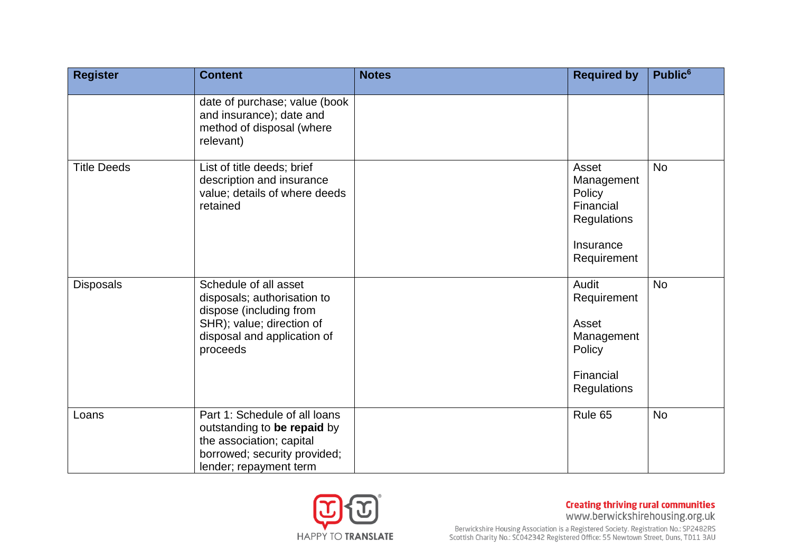| <b>Register</b>    | <b>Content</b>                                                                                                                                          | <b>Notes</b> | <b>Required by</b>                                                                    | Public <sup>6</sup> |
|--------------------|---------------------------------------------------------------------------------------------------------------------------------------------------------|--------------|---------------------------------------------------------------------------------------|---------------------|
|                    | date of purchase; value (book<br>and insurance); date and<br>method of disposal (where<br>relevant)                                                     |              |                                                                                       |                     |
| <b>Title Deeds</b> | List of title deeds; brief<br>description and insurance<br>value; details of where deeds<br>retained                                                    |              | Asset<br>Management<br>Policy<br>Financial<br>Regulations<br>Insurance<br>Requirement | <b>No</b>           |
| <b>Disposals</b>   | Schedule of all asset<br>disposals; authorisation to<br>dispose (including from<br>SHR); value; direction of<br>disposal and application of<br>proceeds |              | Audit<br>Requirement<br>Asset<br>Management<br>Policy<br>Financial<br>Regulations     | <b>No</b>           |
| Loans              | Part 1: Schedule of all loans<br>outstanding to be repaid by<br>the association; capital<br>borrowed; security provided;<br>lender; repayment term      |              | Rule 65                                                                               | <b>No</b>           |

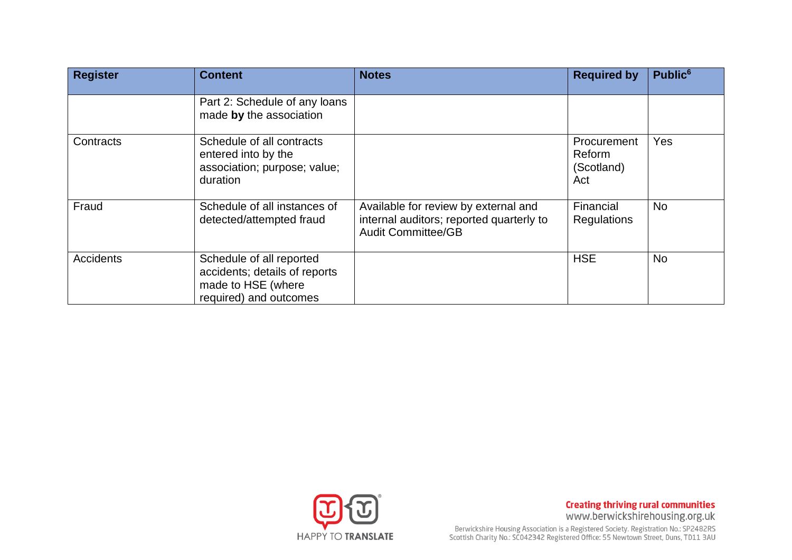| <b>Register</b>  | <b>Content</b>                                                                                            | <b>Notes</b>                                                                                                  | <b>Required by</b>                         | Public <sup>6</sup> |
|------------------|-----------------------------------------------------------------------------------------------------------|---------------------------------------------------------------------------------------------------------------|--------------------------------------------|---------------------|
|                  | Part 2: Schedule of any loans<br>made by the association                                                  |                                                                                                               |                                            |                     |
| Contracts        | Schedule of all contracts<br>entered into by the<br>association; purpose; value;<br>duration              |                                                                                                               | Procurement<br>Reform<br>(Scotland)<br>Act | Yes                 |
| Fraud            | Schedule of all instances of<br>detected/attempted fraud                                                  | Available for review by external and<br>internal auditors; reported quarterly to<br><b>Audit Committee/GB</b> | Financial<br><b>Regulations</b>            | <b>No</b>           |
| <b>Accidents</b> | Schedule of all reported<br>accidents; details of reports<br>made to HSE (where<br>required) and outcomes |                                                                                                               | <b>HSE</b>                                 | <b>No</b>           |